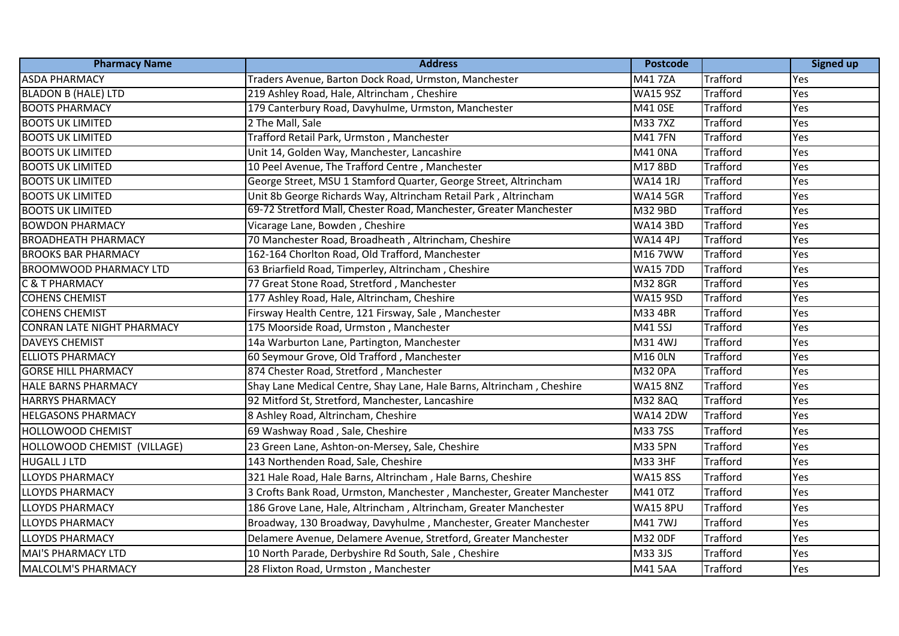| <b>Pharmacy Name</b>              | <b>Address</b>                                                          | <b>Postcode</b> |                 | <b>Signed up</b> |
|-----------------------------------|-------------------------------------------------------------------------|-----------------|-----------------|------------------|
| <b>ASDA PHARMACY</b>              | Traders Avenue, Barton Dock Road, Urmston, Manchester                   | M417ZA          | <b>Trafford</b> | Yes              |
| <b>BLADON B (HALE) LTD</b>        | 219 Ashley Road, Hale, Altrincham, Cheshire                             | <b>WA15 9SZ</b> | <b>Trafford</b> | Yes              |
| <b>BOOTS PHARMACY</b>             | 179 Canterbury Road, Davyhulme, Urmston, Manchester                     | M41 0SE         | <b>Trafford</b> | Yes              |
| <b>BOOTS UK LIMITED</b>           | 2 The Mall, Sale                                                        | M33 7XZ         | <b>Trafford</b> | Yes              |
| <b>BOOTS UK LIMITED</b>           | Trafford Retail Park, Urmston, Manchester                               | M41 7FN         | <b>Trafford</b> | Yes              |
| <b>BOOTS UK LIMITED</b>           | Unit 14, Golden Way, Manchester, Lancashire                             | M41 0NA         | <b>Trafford</b> | Yes              |
| <b>BOOTS UK LIMITED</b>           | 10 Peel Avenue, The Trafford Centre, Manchester                         | M178BD          | <b>Trafford</b> | Yes              |
| <b>BOOTS UK LIMITED</b>           | George Street, MSU 1 Stamford Quarter, George Street, Altrincham        | <b>WA14 1RJ</b> | <b>Trafford</b> | Yes              |
| <b>BOOTS UK LIMITED</b>           | Unit 8b George Richards Way, Altrincham Retail Park, Altrincham         | <b>WA14 5GR</b> | <b>Trafford</b> | Yes              |
| <b>BOOTS UK LIMITED</b>           | 69-72 Stretford Mall, Chester Road, Manchester, Greater Manchester      | M32 9BD         | <b>Trafford</b> | Yes              |
| <b>BOWDON PHARMACY</b>            | Vicarage Lane, Bowden, Cheshire                                         | <b>WA14 3BD</b> | <b>Trafford</b> | Yes              |
| <b>BROADHEATH PHARMACY</b>        | 70 Manchester Road, Broadheath, Altrincham, Cheshire                    | <b>WA14 4PJ</b> | <b>Trafford</b> | Yes              |
| <b>BROOKS BAR PHARMACY</b>        | 162-164 Chorlton Road, Old Trafford, Manchester                         | M167WW          | <b>Trafford</b> | Yes              |
| <b>BROOMWOOD PHARMACY LTD</b>     | 63 Briarfield Road, Timperley, Altrincham, Cheshire                     | <b>WA15 7DD</b> | <b>Trafford</b> | Yes              |
| <b>C &amp; T PHARMACY</b>         | 77 Great Stone Road, Stretford, Manchester                              | M32 8GR         | Trafford        | Yes              |
| <b>COHENS CHEMIST</b>             | 177 Ashley Road, Hale, Altrincham, Cheshire                             | <b>WA15 9SD</b> | <b>Trafford</b> | Yes              |
| <b>COHENS CHEMIST</b>             | Firsway Health Centre, 121 Firsway, Sale, Manchester                    | M33 4BR         | <b>Trafford</b> | Yes              |
| <b>CONRAN LATE NIGHT PHARMACY</b> | 175 Moorside Road, Urmston, Manchester                                  | M41 5SJ         | <b>Trafford</b> | Yes              |
| <b>DAVEYS CHEMIST</b>             | 14a Warburton Lane, Partington, Manchester                              | M31 4WJ         | Trafford        | Yes              |
| <b>ELLIOTS PHARMACY</b>           | 60 Seymour Grove, Old Trafford, Manchester                              | <b>M16 0LN</b>  | <b>Trafford</b> | Yes              |
| <b>GORSE HILL PHARMACY</b>        | 874 Chester Road, Stretford, Manchester                                 | M32 0PA         | <b>Trafford</b> | Yes              |
| <b>HALE BARNS PHARMACY</b>        | Shay Lane Medical Centre, Shay Lane, Hale Barns, Altrincham, Cheshire   | <b>WA15 8NZ</b> | <b>Trafford</b> | Yes              |
| <b>HARRYS PHARMACY</b>            | 92 Mitford St, Stretford, Manchester, Lancashire                        | <b>M32 8AQ</b>  | <b>Trafford</b> | Yes              |
| <b>HELGASONS PHARMACY</b>         | 8 Ashley Road, Altrincham, Cheshire                                     | <b>WA14 2DW</b> | <b>Trafford</b> | Yes              |
| <b>HOLLOWOOD CHEMIST</b>          | 69 Washway Road, Sale, Cheshire                                         | M33 7SS         | <b>Trafford</b> | Yes              |
| HOLLOWOOD CHEMIST (VILLAGE)       | 23 Green Lane, Ashton-on-Mersey, Sale, Cheshire                         | M33 5PN         | <b>Trafford</b> | Yes              |
| <b>HUGALL J LTD</b>               | 143 Northenden Road, Sale, Cheshire                                     | M33 3HF         | <b>Trafford</b> | Yes              |
| <b>LLOYDS PHARMACY</b>            | 321 Hale Road, Hale Barns, Altrincham, Hale Barns, Cheshire             | <b>WA15 8SS</b> | <b>Trafford</b> | Yes              |
| <b>LLOYDS PHARMACY</b>            | 3 Crofts Bank Road, Urmston, Manchester, Manchester, Greater Manchester | M41 0TZ         | Trafford        | Yes              |
| <b>LLOYDS PHARMACY</b>            | 186 Grove Lane, Hale, Altrincham, Altrincham, Greater Manchester        | <b>WA15 8PU</b> | <b>Trafford</b> | Yes              |
| <b>LLOYDS PHARMACY</b>            | Broadway, 130 Broadway, Davyhulme, Manchester, Greater Manchester       | M417WJ          | Trafford        | Yes              |
| <b>LLOYDS PHARMACY</b>            | Delamere Avenue, Delamere Avenue, Stretford, Greater Manchester         | M32 0DF         | <b>Trafford</b> | Yes              |
| MAI'S PHARMACY LTD                | 10 North Parade, Derbyshire Rd South, Sale, Cheshire                    | M33 3JS         | Trafford        | Yes              |
| MALCOLM'S PHARMACY                | 28 Flixton Road, Urmston, Manchester                                    | M41 5AA         | <b>Trafford</b> | Yes              |